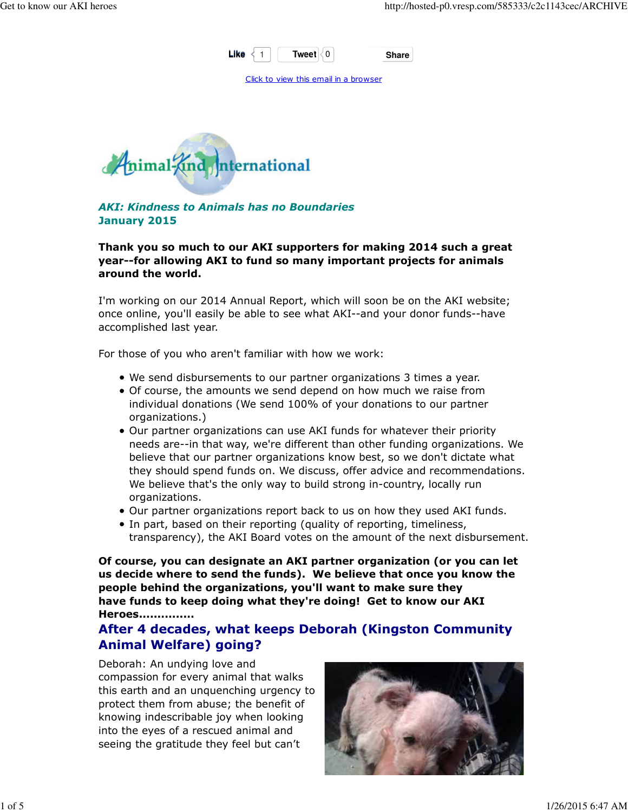

Click to view this email in a browser



AKI: Kindness to Animals has no Boundaries January 2015

Thank you so much to our AKI supporters for making 2014 such a great year--for allowing AKI to fund so many important projects for animals around the world.

I'm working on our 2014 Annual Report, which will soon be on the AKI website; once online, you'll easily be able to see what AKI--and your donor funds--have accomplished last year.

For those of you who aren't familiar with how we work:

- We send disbursements to our partner organizations 3 times a year.
- Of course, the amounts we send depend on how much we raise from individual donations (We send 100% of your donations to our partner organizations.)
- Our partner organizations can use AKI funds for whatever their priority needs are--in that way, we're different than other funding organizations. We believe that our partner organizations know best, so we don't dictate what they should spend funds on. We discuss, offer advice and recommendations. We believe that's the only way to build strong in-country, locally run organizations.
- Our partner organizations report back to us on how they used AKI funds.
- In part, based on their reporting (quality of reporting, timeliness, transparency), the AKI Board votes on the amount of the next disbursement.

Of course, you can designate an AKI partner organization (or you can let us decide where to send the funds). We believe that once you know the people behind the organizations, you'll want to make sure they have funds to keep doing what they're doing! Get to know our AKI Heroes...............

After 4 decades, what keeps Deborah (Kingston Community Animal Welfare) going?

Deborah: An undying love and compassion for every animal that walks this earth and an unquenching urgency to protect them from abuse; the benefit of knowing indescribable joy when looking into the eyes of a rescued animal and seeing the gratitude they feel but can't

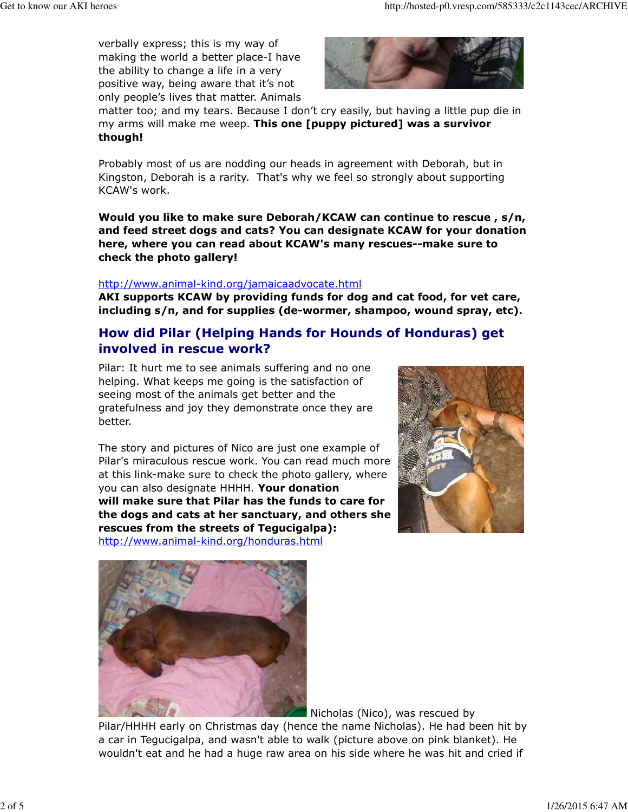verbally express; this is my way of making the world a better place-I have the ability to change a life in a very positive way, being aware that it's not only people's lives that matter. Animals



matter too; and my tears. Because I don't cry easily, but having a little pup die in my arms will make me weep. This one [puppy pictured] was a survivor though!

Probably most of us are nodding our heads in agreement with Deborah, but in Kingston, Deborah is a rarity. That's why we feel so strongly about supporting KCAW's work.

Would you like to make sure Deborah/KCAW can continue to rescue , s/n, and feed street dogs and cats? You can designate KCAW for your donation here, where you can read about KCAW's many rescues--make sure to check the photo gallery!

#### http://www.animal-kind.org/jamaicaadvocate.html

AKI supports KCAW by providing funds for dog and cat food, for vet care, including s/n, and for supplies (de-wormer, shampoo, wound spray, etc).

## How did Pilar (Helping Hands for Hounds of Honduras) get involved in rescue work?

Pilar: It hurt me to see animals suffering and no one helping. What keeps me going is the satisfaction of seeing most of the animals get better and the gratefulness and joy they demonstrate once they are better.

The story and pictures of Nico are just one example of Pilar's miraculous rescue work. You can read much more at this link-make sure to check the photo gallery, where you can also designate HHHH. Your donation will make sure that Pilar has the funds to care for the dogs and cats at her sanctuary, and others she rescues from the streets of Tegucigalpa): http://www.animal-kind.org/honduras.html





Nicholas (Nico), was rescued by

Pilar/HHHH early on Christmas day (hence the name Nicholas). He had been hit by a car in Tegucigalpa, and wasn't able to walk (picture above on pink blanket). He wouldn't eat and he had a huge raw area on his side where he was hit and cried if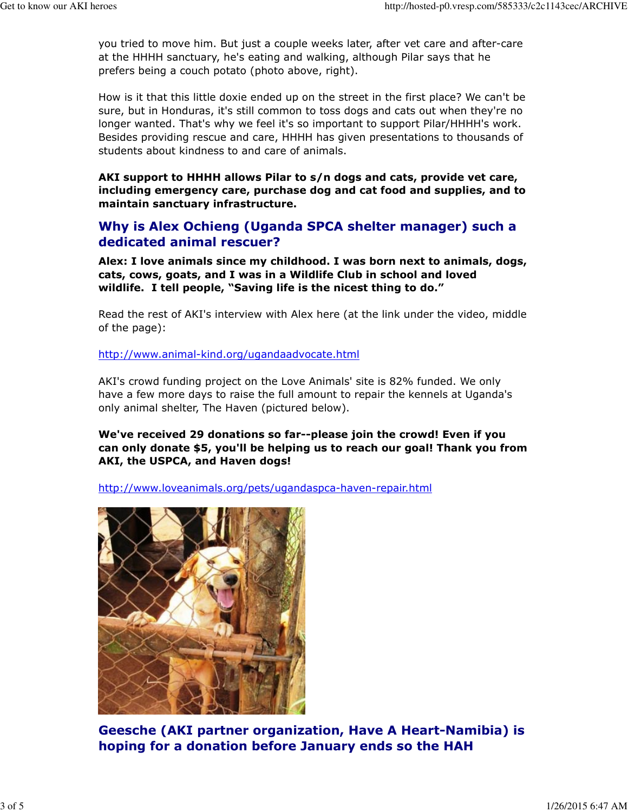you tried to move him. But just a couple weeks later, after vet care and after-care at the HHHH sanctuary, he's eating and walking, although Pilar says that he prefers being a couch potato (photo above, right).

How is it that this little doxie ended up on the street in the first place? We can't be sure, but in Honduras, it's still common to toss dogs and cats out when they're no longer wanted. That's why we feel it's so important to support Pilar/HHHH's work. Besides providing rescue and care, HHHH has given presentations to thousands of students about kindness to and care of animals.

AKI support to HHHH allows Pilar to s/n dogs and cats, provide vet care, including emergency care, purchase dog and cat food and supplies, and to maintain sanctuary infrastructure.

# Why is Alex Ochieng (Uganda SPCA shelter manager) such a dedicated animal rescuer?

Alex: I love animals since my childhood. I was born next to animals, dogs, cats, cows, goats, and I was in a Wildlife Club in school and loved wildlife. I tell people, "Saving life is the nicest thing to do."

Read the rest of AKI's interview with Alex here (at the link under the video, middle of the page):

http://www.animal-kind.org/ugandaadvocate.html

AKI's crowd funding project on the Love Animals' site is 82% funded. We only have a few more days to raise the full amount to repair the kennels at Uganda's only animal shelter, The Haven (pictured below).

### We've received 29 donations so far--please join the crowd! Even if you can only donate \$5, you'll be helping us to reach our goal! Thank you from AKI, the USPCA, and Haven dogs!

http://www.loveanimals.org/pets/ugandaspca-haven-repair.html



Geesche (AKI partner organization, Have A Heart-Namibia) is hoping for a donation before January ends so the HAH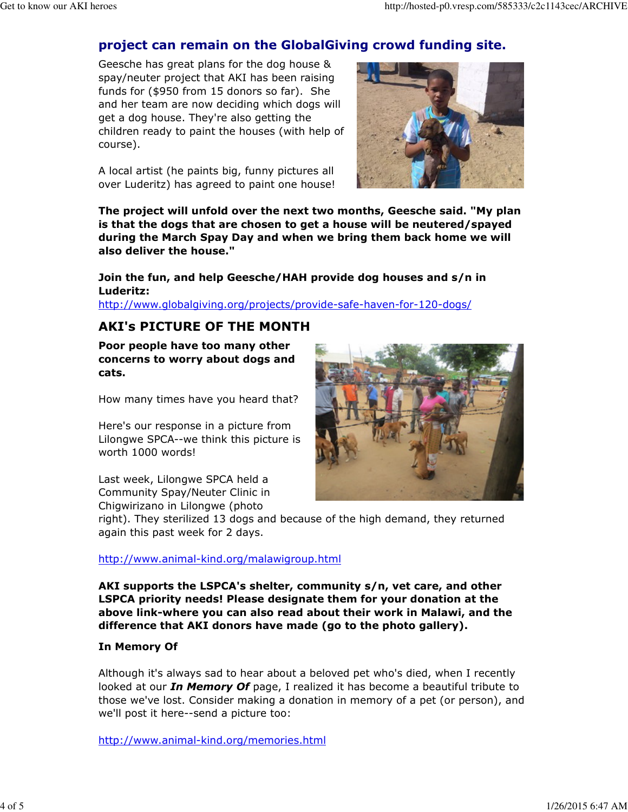# project can remain on the GlobalGiving crowd funding site.

Geesche has great plans for the dog house & spay/neuter project that AKI has been raising funds for (\$950 from 15 donors so far). She and her team are now deciding which dogs will get a dog house. They're also getting the children ready to paint the houses (with help of course).

A local artist (he paints big, funny pictures all over Luderitz) has agreed to paint one house!



The project will unfold over the next two months, Geesche said. "My plan is that the dogs that are chosen to get a house will be neutered/spayed during the March Spay Day and when we bring them back home we will also deliver the house."

Join the fun, and help Geesche/HAH provide dog houses and s/n in Luderitz:

http://www.globalgiving.org/projects/provide-safe-haven-for-120-dogs/

## AKI's PICTURE OF THE MONTH

Poor people have too many other concerns to worry about dogs and cats.

How many times have you heard that?

Here's our response in a picture from Lilongwe SPCA--we think this picture is worth 1000 words!

Last week, Lilongwe SPCA held a Community Spay/Neuter Clinic in Chigwirizano in Lilongwe (photo



right). They sterilized 13 dogs and because of the high demand, they returned again this past week for 2 days.

#### http://www.animal-kind.org/malawigroup.html

AKI supports the LSPCA's shelter, community s/n, vet care, and other LSPCA priority needs! Please designate them for your donation at the above link-where you can also read about their work in Malawi, and the difference that AKI donors have made (go to the photo gallery).

#### In Memory Of

Although it's always sad to hear about a beloved pet who's died, when I recently looked at our *In Memory Of* page, I realized it has become a beautiful tribute to those we've lost. Consider making a donation in memory of a pet (or person), and we'll post it here--send a picture too:

http://www.animal-kind.org/memories.html